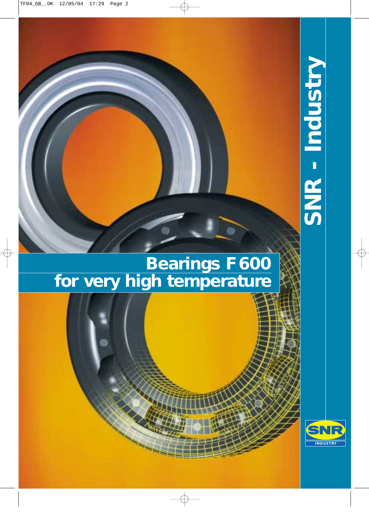# **SNR - Industry** SNR - Industry

# **Bearings F600 for very high temperature**

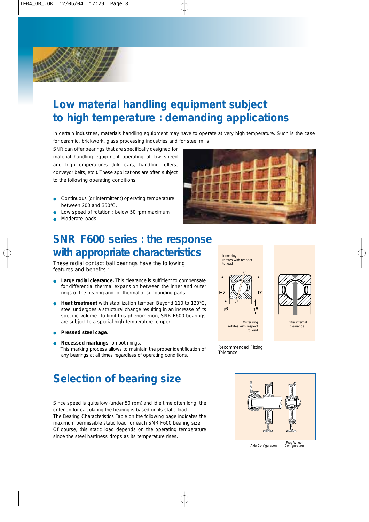# **Low material handling equipment subject to high temperature : demanding applications**

In certain industries, materials handling equipment may have to operate at very high temperature. Such is the case for ceramic, brickwork, glass processing industries and for steel mills.

SNR can offer bearings that are specifically designed for material handling equipment operating at low speed and high-temperatures (kiln cars, handling rollers, conveyor belts, etc.). These applications are often subject to the following operating conditions :

- Continuous (or intermittent) operating temperature between 200 and 350°C.
- Low speed of rotation : below 50 rpm maximum
- Moderate loads.



### **SNR F600 series : the response with appropriate characteristics**

These radial contact ball bearings have the following features and benefits :

- Large radial clearance. This clearance is sufficient to compensate for differential thermal expansion between the inner and outer rings of the bearing and for thermal of surrounding parts.
- **Heat treatment** with stabilization temper. Beyond 110 to 120°C, steel undergoes a structural change resulting in an increase of its specific volume. To limit this phenomenon, SNR F600 bearings are subject to a special high-temperature temper.
- **Pressed steel cage.**
- **Recessed markings** on both rings. This marking process allows to maintain the proper identification of

## **Selection of bearing size**

Since speed is quite low (under 50 rpm) and idle time often long, the criterion for calculating the bearing is based on its static load. The Bearing Characteristics Table on the following page indicates the maximum permissible static load for each SNR F600 bearing size. Of course, this static load depends on the operating temperature since the steel hardness drops as its temperature rises.



*Recommended Fitting Tolerance*

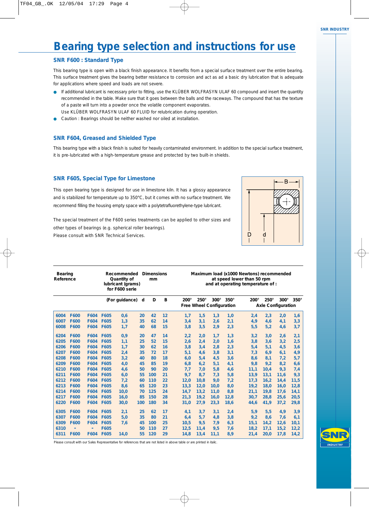# **Bearing type selection and instructions for use**

### *SNR F600 : Standard Type*

- If additional lubricant is necessary prior to fitting, use the KLÜBER WOLFRASYN ULAF 60 compound and insert the quantity recommended in the table. Make sure that it goes between the balls and the raceways. The compound that has the texture of a paste will turn into a powder once the volatile component evaporates.
- Use KLÜBER WOLFRASYN ULAF 60 FLUID for relubrication during operation.
- Caution : Bearings should be neither washed nor oiled at installation.

### *SNR F604, Greased and Shielded Type*

### *SNR F605, Special Type for Limestone*



|                                                                                                                                                                                                                                                                                                                                                                                                                                                                                                                                       |                                                                                                                                                                                                                                                                                                                                 | Bearing type selection and instructions for use                                                                                                                                   |                                                                                                                             |                                                                                                                                                                                                                                                   |                                                                                                           |                                                                                                             |                                                                                                      |                                                                                                                                          |                                                                                                             |                                                                                                                    |
|---------------------------------------------------------------------------------------------------------------------------------------------------------------------------------------------------------------------------------------------------------------------------------------------------------------------------------------------------------------------------------------------------------------------------------------------------------------------------------------------------------------------------------------|---------------------------------------------------------------------------------------------------------------------------------------------------------------------------------------------------------------------------------------------------------------------------------------------------------------------------------|-----------------------------------------------------------------------------------------------------------------------------------------------------------------------------------|-----------------------------------------------------------------------------------------------------------------------------|---------------------------------------------------------------------------------------------------------------------------------------------------------------------------------------------------------------------------------------------------|-----------------------------------------------------------------------------------------------------------|-------------------------------------------------------------------------------------------------------------|------------------------------------------------------------------------------------------------------|------------------------------------------------------------------------------------------------------------------------------------------|-------------------------------------------------------------------------------------------------------------|--------------------------------------------------------------------------------------------------------------------|
| <b>SNR F600 : Standard Type</b>                                                                                                                                                                                                                                                                                                                                                                                                                                                                                                       |                                                                                                                                                                                                                                                                                                                                 |                                                                                                                                                                                   |                                                                                                                             |                                                                                                                                                                                                                                                   |                                                                                                           |                                                                                                             |                                                                                                      |                                                                                                                                          |                                                                                                             |                                                                                                                    |
| This bearing type is open with a black finish appearance. It benefits from a special surface treatment over the entire bearing.<br>This surface treatment gives the bearing better resistance to corrosion and act as ad a basic dry lubrication that is adequate<br>for applications where speed and loads are not severe.<br>• If additional lubricant is necessary prior to fitting, use the KLÜBER WOLFRASYN ULAF 60 compound and insert the quantity<br>• Caution : Bearings should be neither washed nor oiled at installation. | recommended in the table. Make sure that it goes between the balls and the raceways. The compound that has the texture<br>of a paste will turn into a powder once the volatile component evaporates.<br>Use KLÜBER WOLFRASYN ULAF 60 FLUID for relubrication during operation.                                                  |                                                                                                                                                                                   |                                                                                                                             |                                                                                                                                                                                                                                                   |                                                                                                           |                                                                                                             |                                                                                                      |                                                                                                                                          |                                                                                                             |                                                                                                                    |
| <b>SNR F604, Greased and Shielded Type</b>                                                                                                                                                                                                                                                                                                                                                                                                                                                                                            |                                                                                                                                                                                                                                                                                                                                 |                                                                                                                                                                                   |                                                                                                                             |                                                                                                                                                                                                                                                   |                                                                                                           |                                                                                                             |                                                                                                      |                                                                                                                                          |                                                                                                             |                                                                                                                    |
| This bearing type with a black finish is suited for heavily contaminated environment. In addition to the special surface treatment,<br>it is pre-lubricated with a high-temperature grease and protected by two built-in shields.                                                                                                                                                                                                                                                                                                     |                                                                                                                                                                                                                                                                                                                                 |                                                                                                                                                                                   |                                                                                                                             |                                                                                                                                                                                                                                                   |                                                                                                           |                                                                                                             |                                                                                                      |                                                                                                                                          |                                                                                                             |                                                                                                                    |
| <b>SNR F605, Special Type for Limestone</b><br>This open bearing type is designed for use in limestone kiln. It has a glossy appearance<br>and is stabilized for temperature up to 350°C, but it comes with no surface treatment. We<br>recommend filling the housing empty space with a polytetrafluorethylene-type lubricant.<br>The special treatment of the F600 series treatments can be applied to other sizes and<br>other types of bearings (e.g. spherical roller bearings).                                                 |                                                                                                                                                                                                                                                                                                                                 |                                                                                                                                                                                   |                                                                                                                             |                                                                                                                                                                                                                                                   |                                                                                                           |                                                                                                             |                                                                                                      |                                                                                                                                          |                                                                                                             |                                                                                                                    |
| Please consult with SNR Technical Services.                                                                                                                                                                                                                                                                                                                                                                                                                                                                                           |                                                                                                                                                                                                                                                                                                                                 |                                                                                                                                                                                   |                                                                                                                             |                                                                                                                                                                                                                                                   |                                                                                                           |                                                                                                             | D                                                                                                    |                                                                                                                                          |                                                                                                             |                                                                                                                    |
| Bearing<br>Reference                                                                                                                                                                                                                                                                                                                                                                                                                                                                                                                  | Recommended Dimensions<br>Quantity of<br>lubricant (grams)<br>for F600 serie                                                                                                                                                                                                                                                    | mm                                                                                                                                                                                |                                                                                                                             |                                                                                                                                                                                                                                                   |                                                                                                           | Maximum load (x1000 Newtons) recommended<br>at speed lower than 50 rpm<br>and at operating temperature of : |                                                                                                      |                                                                                                                                          |                                                                                                             |                                                                                                                    |
|                                                                                                                                                                                                                                                                                                                                                                                                                                                                                                                                       | (For guidance) d                                                                                                                                                                                                                                                                                                                | D                                                                                                                                                                                 | B                                                                                                                           | $200^\circ$ 250 $^\circ$<br>Free Wheel Configuration                                                                                                                                                                                              | $300^\circ$ 350 $^\circ$                                                                                  |                                                                                                             |                                                                                                      | <b>Axle Configuration</b>                                                                                                                |                                                                                                             | 200° 250° 300° 350°                                                                                                |
| 6004 F600<br>6007 F600<br>6008 F600<br>6204 F600<br>6205 F600<br>6206 F600<br>6207 F600<br>6208 F600<br>6209 F600<br>6210 F600<br>6211 F600<br>6212 F600<br>6213 F600<br>6214 F600<br>6217 F600<br>6220 F600                                                                                                                                                                                                                                                                                                                          | F604 F605<br>0,6<br>F604 F605<br>1,3<br>F604 F605<br>1,7<br>F604 F605<br>0,9<br>F604 F605<br>1,1<br>F604 F605<br>1,7<br>F604 F605<br>2,4<br>F604 F605<br>3,2<br>F604 F605<br>4,0<br>F604 F605<br>4,6<br>F604 F605<br>6,0<br>F604 F605<br>7,2<br>F604 F605<br>8,6<br>F604 F605<br>10,0<br>F604 F605<br>16,0<br>F604 F605<br>30,0 | 42<br>20<br>35<br>62<br>68<br>40<br>47<br>20<br>25<br>52<br>30<br>62<br>35<br>72<br>80<br>40<br>45<br>85<br>50<br>90<br>55 100<br>60 110<br>65 120<br>70 125<br>85 150<br>100 180 | 12<br>$\sqrt{14}$<br><b>15</b><br>$\sqrt{14}$<br>15<br>16<br>$-17$<br>-18<br>19<br>20<br>21<br>22<br>23<br>24<br>28<br>- 34 | $1,7$ $1,5$ $1,3$ $1,0$<br>3,1<br>3,4<br>3,5<br>3,8<br>2,2<br>2,0<br>2,4<br>2,6<br>3,4<br>3,8<br>5,1<br>4,6<br>5,4<br>6,0<br>6,2<br>6,8<br>7,0<br>7,7<br>8,7<br>9,7<br>12,0<br>10,8<br>13,3<br>12,0<br>14,7<br>13,2<br>$21,3$ 19,2<br>$31,0$ 27,9 | 2,6<br>2,9<br>1,7<br>2,0<br>2,8<br>3,8<br>4,5<br>5,1<br>5,8<br>7,3<br>9,0<br>10,0<br>11,0<br>16,0<br>23,3 | 2,1<br>2,3<br>1,3<br>1,6<br>2,3<br>3,1<br>3,6<br>4,1<br>4,6<br>5,8<br>7,2<br>8,0<br>8,8<br>12,8<br>18,6     | 4,9<br>5,5<br>3,2<br>3,8<br>5,4<br>7,3<br>8,6<br>9,8<br>11,1<br>13,9<br>17,3<br>19,2<br>21,1<br>44,6 | $2,4$ $2,3$ $2,0$<br>4,6<br>5,2<br>3,0<br>3,6<br>5,1<br>6,9<br>8,1<br>9,2<br>10,4<br>13,1<br>16,2<br>18,0<br>19,8<br>$30,7$ 28,8<br>41,9 | 4,1<br>4,6<br>2,6<br>3,2<br>4,5<br>6,1<br>7,2<br>8,2<br>9,3<br>11,6<br>14,4<br>16,0<br>17,6<br>25,6<br>37,2 | 1,6<br>3,3<br>3,7<br>2,1<br>2,5<br>3,6<br>4,9<br>5,7<br>6, 6<br>7,4<br>9,3<br>11,5<br>12,8<br>14,1<br>20,5<br>29,8 |



Please consult with our Sales Representative for references that are not listed in above table or are printed in italic.